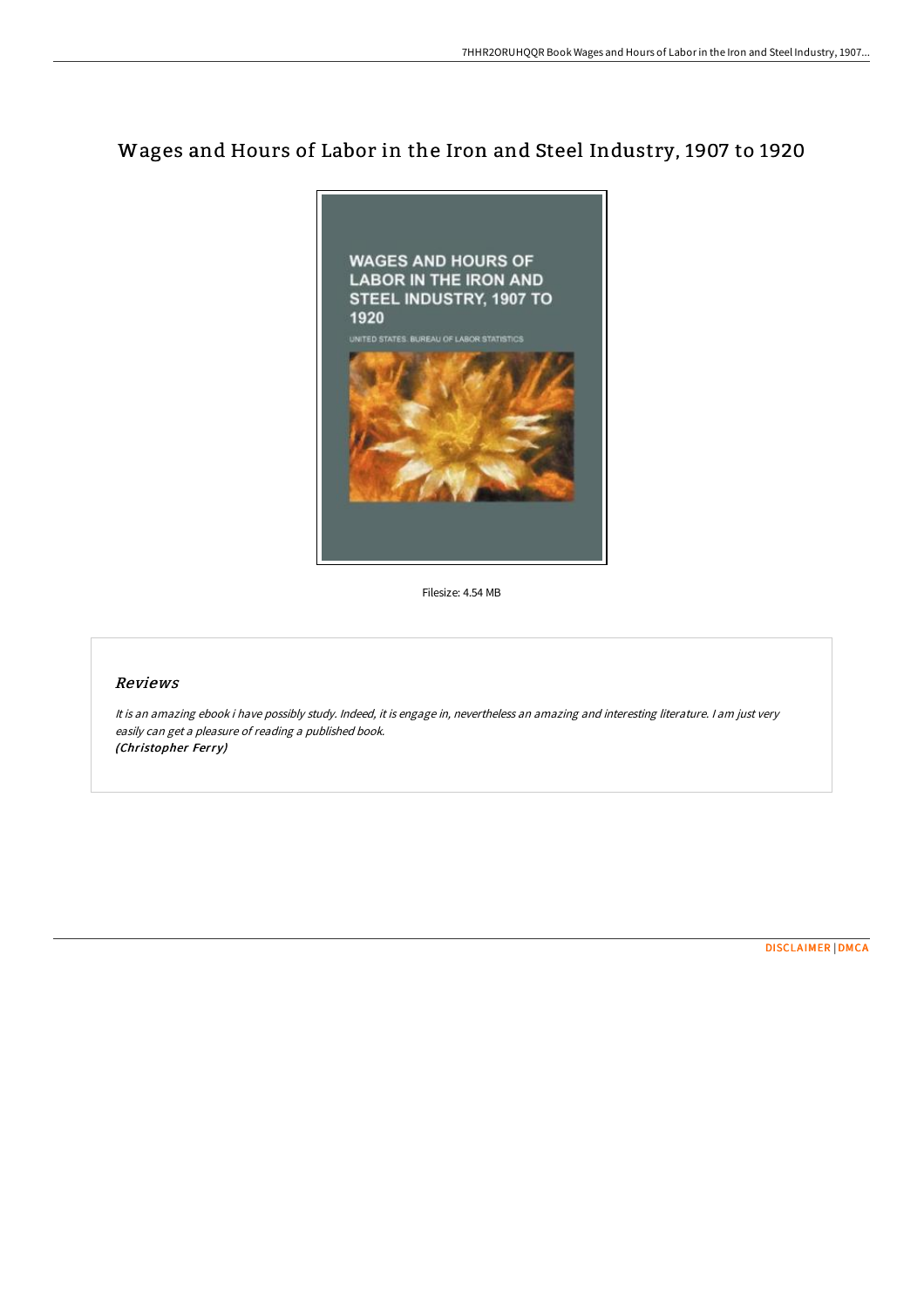# Wages and Hours of Labor in the Iron and Steel Industry, 1907 to 1920



Filesize: 4.54 MB

### Reviews

It is an amazing ebook i have possibly study. Indeed, it is engage in, nevertheless an amazing and interesting literature. I am just very easily can get <sup>a</sup> pleasure of reading <sup>a</sup> published book. (Christopher Ferry)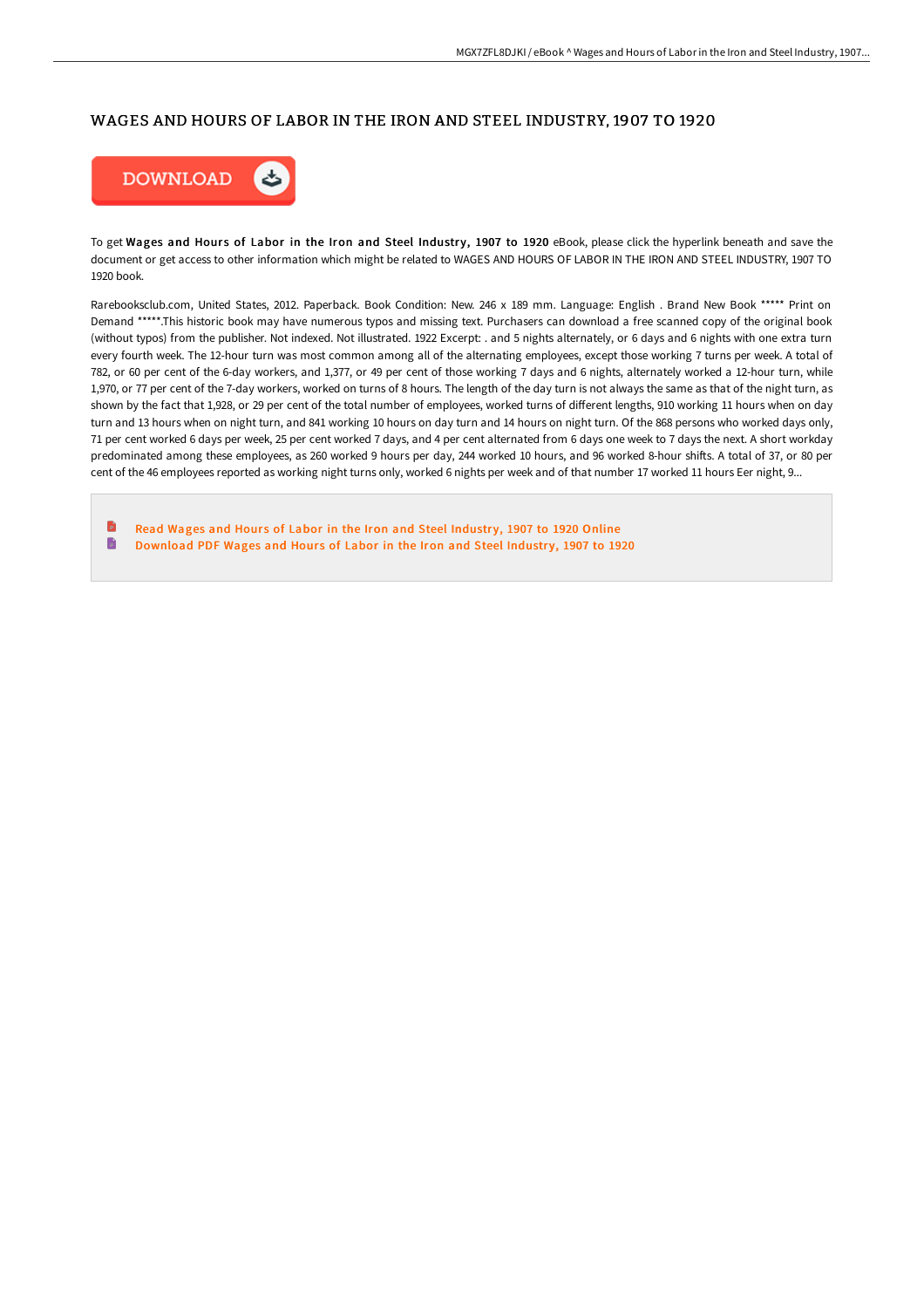#### WAGES AND HOURS OF LABOR IN THE IRON AND STEEL INDUSTRY, 1907 TO 1920



To get Wages and Hours of Labor in the Iron and Steel Industry, 1907 to 1920 eBook, please click the hyperlink beneath and save the document or get access to other information which might be related to WAGES AND HOURS OF LABOR IN THE IRON AND STEEL INDUSTRY, 1907 TO 1920 book.

Rarebooksclub.com, United States, 2012. Paperback. Book Condition: New. 246 x 189 mm. Language: English . Brand New Book \*\*\*\*\* Print on Demand \*\*\*\*\*.This historic book may have numerous typos and missing text. Purchasers can download a free scanned copy of the original book (without typos) from the publisher. Not indexed. Not illustrated. 1922 Excerpt: . and 5 nights alternately, or 6 days and 6 nights with one extra turn every fourth week. The 12-hour turn was most common among all of the alternating employees, except those working 7 turns per week. A total of 782, or 60 per cent of the 6-day workers, and 1,377, or 49 per cent of those working 7 days and 6 nights, alternately worked a 12-hour turn, while 1,970, or 77 per cent of the 7-day workers, worked on turns of 8 hours. The length of the day turn is not always the same as that of the night turn, as shown by the fact that 1,928, or 29 per cent of the total number of employees, worked turns of different lengths, 910 working 11 hours when on day turn and 13 hours when on night turn, and 841 working 10 hours on day turn and 14 hours on night turn. Of the 868 persons who worked days only, 71 per cent worked 6 days per week, 25 per cent worked 7 days, and 4 per cent alternated from 6 days one week to 7 days the next. A short workday predominated among these employees, as 260 worked 9 hours per day, 244 worked 10 hours, and 96 worked 8-hour shifts. A total of 37, or 80 per cent of the 46 employees reported as working night turns only, worked 6 nights per week and of that number 17 worked 11 hours Eer night, 9...

Read Wages and Hours of Labor in the Iron and Steel [Industr](http://techno-pub.tech/wages-and-hours-of-labor-in-the-iron-and-steel-i.html)y, 1907 to 1920 Online B [Download](http://techno-pub.tech/wages-and-hours-of-labor-in-the-iron-and-steel-i.html) PDF Wages and Hours of Labor in the Iron and Steel Industry, 1907 to 1920